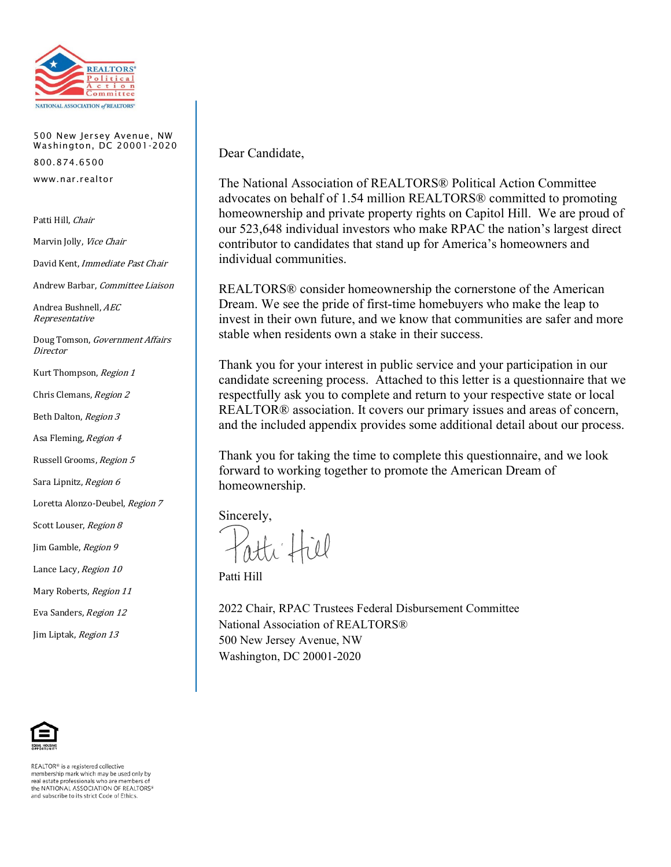

500 New Jersey Avenue, NW Washington, DC 20001-2020 800.874.6500 www.nar.realtor

Patti Hill, Chair

Marvin Jolly, Vice Chair

David Kent, Immediate Past Chair

Andrew Barbar, Committee Liaison

Andrea Bushnell, AEC Representative

Doug Tomson, Government Affairs **Director** 

Kurt Thompson, Region 1

Chris Clemans, Region 2

Beth Dalton, Region 3

Asa Fleming, Region 4

Russell Grooms, Region 5

Sara Lipnitz, Region 6

Loretta Alonzo-Deubel, Region 7

Scott Louser, Region 8

Jim Gamble, Region 9

Lance Lacy, Region 10

Mary Roberts, Region 11

Eva Sanders, Region 12

Jim Liptak, Region 13

REALTOR® is a registered collective membership mark which may be used only by real estate professionals who are members of the NATIONAL ASSOCIATION OF REALTORS® and subscribe to its strict Code of Ethics.

Dear Candidate,

The National Association of REALTORS® Political Action Committee advocates on behalf of 1.54 million REALTORS® committed to promoting homeownership and private property rights on Capitol Hill. We are proud of our 523,648 individual investors who make RPAC the nation's largest direct contributor to candidates that stand up for America's homeowners and individual communities.

REALTORS® consider homeownership the cornerstone of the American Dream. We see the pride of first-time homebuyers who make the leap to invest in their own future, and we know that communities are safer and more stable when residents own a stake in their success.

Thank you for your interest in public service and your participation in our candidate screening process. Attached to this letter is a questionnaire that we respectfully ask you to complete and return to your respective state or local REALTOR® association. It covers our primary issues and areas of concern, and the included appendix provides some additional detail about our process.

Thank you for taking the time to complete this questionnaire, and we look forward to working together to promote the American Dream of homeownership.

Sincerely,

ti fiel

Patti Hill

2022 Chair, RPAC Trustees Federal Disbursement Committee National Association of REALTORS® 500 New Jersey Avenue, NW Washington, DC 20001-2020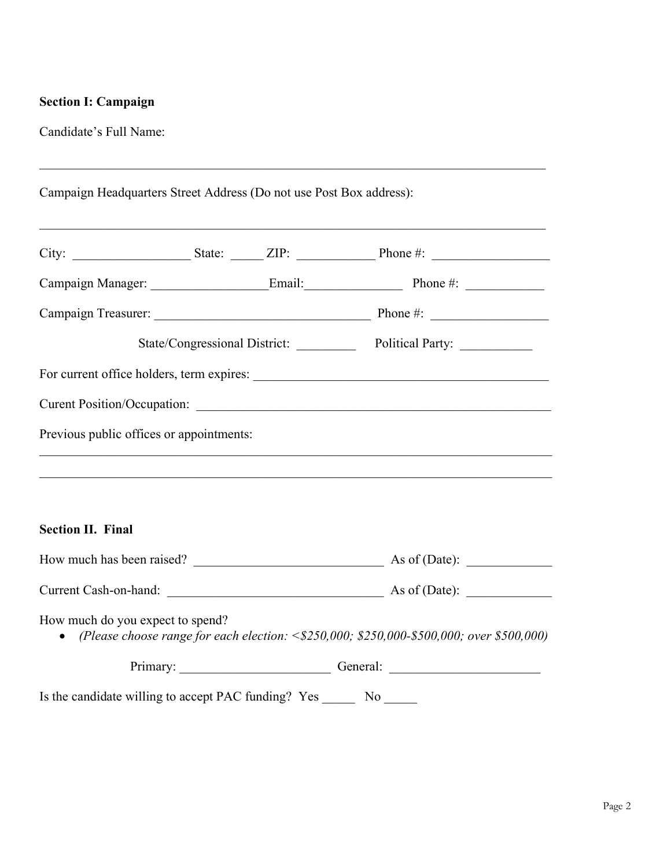# **Section I: Campaign**

Candidate's Full Name:

| Campaign Headquarters Street Address (Do not use Post Box address):               |  |  |                                                                                                  |  |
|-----------------------------------------------------------------------------------|--|--|--------------------------------------------------------------------------------------------------|--|
|                                                                                   |  |  |                                                                                                  |  |
|                                                                                   |  |  |                                                                                                  |  |
|                                                                                   |  |  |                                                                                                  |  |
|                                                                                   |  |  | State/Congressional District: Political Party: 2001                                              |  |
|                                                                                   |  |  |                                                                                                  |  |
|                                                                                   |  |  |                                                                                                  |  |
| Previous public offices or appointments:                                          |  |  |                                                                                                  |  |
| <b>Section II. Final</b>                                                          |  |  |                                                                                                  |  |
|                                                                                   |  |  |                                                                                                  |  |
|                                                                                   |  |  |                                                                                                  |  |
| How much do you expect to spend?                                                  |  |  | • (Please choose range for each election: $\leq$ \$250,000; \$250,000-\$500,000; over \$500,000) |  |
|                                                                                   |  |  | Primary: Ceneral: Ceneral:                                                                       |  |
| Is the candidate willing to accept PAC funding? Yes _____________________________ |  |  |                                                                                                  |  |

\_\_\_\_\_\_\_\_\_\_\_\_\_\_\_\_\_\_\_\_\_\_\_\_\_\_\_\_\_\_\_\_\_\_\_\_\_\_\_\_\_\_\_\_\_\_\_\_\_\_\_\_\_\_\_\_\_\_\_\_\_\_\_\_\_\_\_\_\_\_\_\_\_\_\_\_\_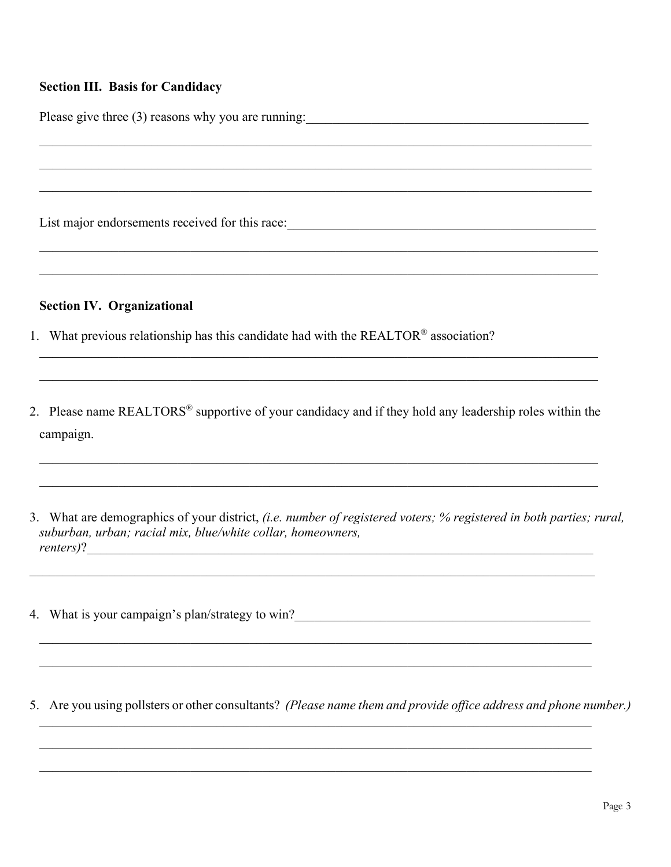#### **Section III. Basis for Candidacy**

Please give three (3) reasons why you are running:

List major endorsements received for this race:

#### **Section IV. Organizational**

- 1. What previous relationship has this candidate had with the REALTOR® association?
- 2. Please name REALTORS<sup>®</sup> supportive of your candidacy and if they hold any leadership roles within the campaign.

3. What are demographics of your district, (i.e. number of registered voters; % registered in both parties; rural, suburban, urban; racial mix, blue/white collar, homeowners, renters)?

4. What is your campaign's plan/strategy to win?\_\_\_\_\_\_\_\_\_\_\_\_\_\_\_\_\_\_\_\_\_\_\_\_\_\_\_\_\_\_\_\_\_

5. Are you using pollsters or other consultants? (Please name them and provide office address and phone number.)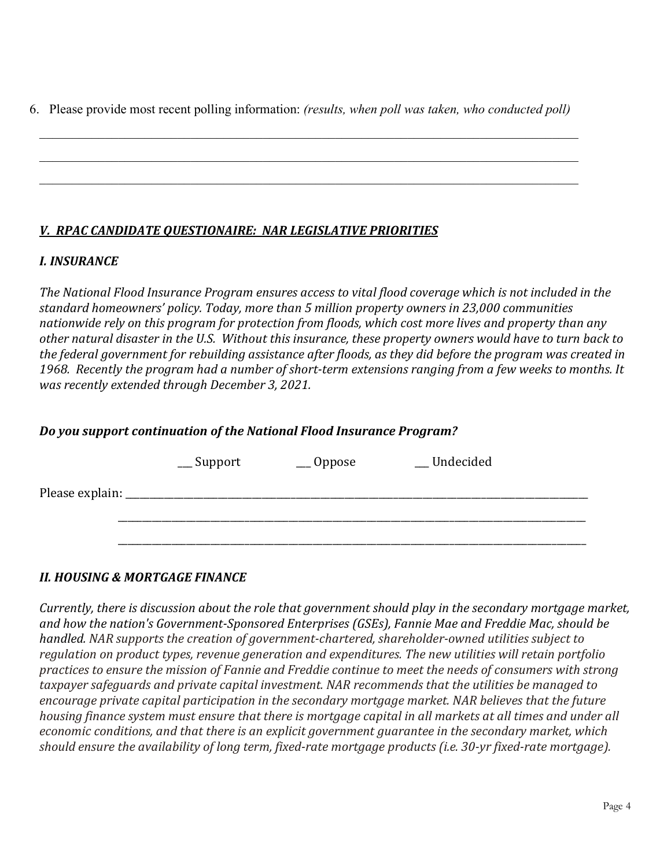6. Please provide most recent polling information: *(results, when poll was taken, who conducted poll)*

\_\_\_\_\_\_\_\_\_\_\_\_\_\_\_\_\_\_\_\_\_\_\_\_\_\_\_\_\_\_\_\_\_\_\_\_\_\_\_\_\_\_\_\_\_\_\_\_\_\_\_\_\_\_\_\_\_\_\_\_\_\_\_\_\_\_\_\_\_\_\_\_\_\_\_\_\_\_\_\_\_\_

 $\mathcal{L}_\mathcal{L} = \mathcal{L}_\mathcal{L} = \mathcal{L}_\mathcal{L} = \mathcal{L}_\mathcal{L} = \mathcal{L}_\mathcal{L} = \mathcal{L}_\mathcal{L} = \mathcal{L}_\mathcal{L} = \mathcal{L}_\mathcal{L} = \mathcal{L}_\mathcal{L} = \mathcal{L}_\mathcal{L} = \mathcal{L}_\mathcal{L} = \mathcal{L}_\mathcal{L} = \mathcal{L}_\mathcal{L} = \mathcal{L}_\mathcal{L} = \mathcal{L}_\mathcal{L} = \mathcal{L}_\mathcal{L} = \mathcal{L}_\mathcal{L}$ 

# *V. RPAC CANDIDATE QUESTIONAIRE: NAR LEGISLATIVE PRIORITIES*

### *I. INSURANCE*

*The National Flood Insurance Program ensures access to vital flood coverage which is not included in the standard homeowners' policy. Today, more than 5 million property owners in 23,000 communities nationwide rely on this program for protection from floods, which cost more lives and property than any other natural disaster in the U.S. Without this insurance, these property owners would have to turn back to the federal government for rebuilding assistance after floods, as they did before the program was created in 1968. Recently the program had a number of short-term extensions ranging from a few weeks to months. It was recently extended through December 3, 2021.* 

## *Do you support continuation of the National Flood Insurance Program?*

|                 | $\equiv$ Support | $\_\_$ Oppose | __Undecided |  |
|-----------------|------------------|---------------|-------------|--|
| Please explain: |                  |               |             |  |
|                 |                  |               |             |  |
|                 |                  |               |             |  |

### *II. HOUSING & MORTGAGE FINANCE*

*Currently, there is discussion about the role that government should play in the secondary mortgage market, and how the nation's Government-Sponsored Enterprises (GSEs), Fannie Mae and Freddie Mac, should be handled. NAR supports the creation of government-chartered, shareholder-owned utilities subject to regulation on product types, revenue generation and expenditures. The new utilities will retain portfolio practices to ensure the mission of Fannie and Freddie continue to meet the needs of consumers with strong taxpayer safeguards and private capital investment. NAR recommends that the utilities be managed to encourage private capital participation in the secondary mortgage market. NAR believes that the future housing finance system must ensure that there is mortgage capital in all markets at all times and under all economic conditions, and that there is an explicit government guarantee in the secondary market, which should ensure the availability of long term, fixed-rate mortgage products (i.e. 30-yr fixed-rate mortgage).*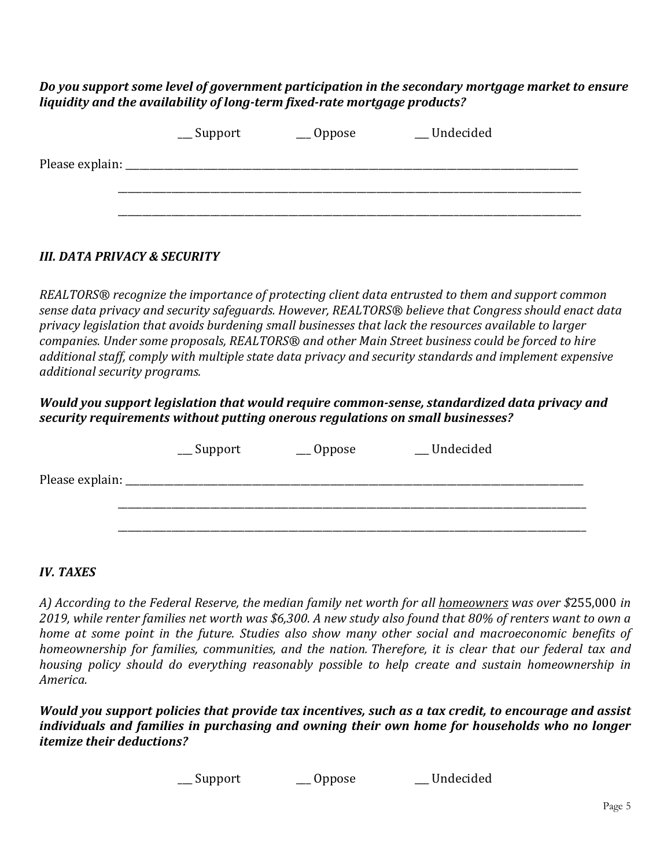*Do you support some level of government participation in the secondary mortgage market to ensure liquidity and the availability of long-term fixed-rate mortgage products?* 

|                 | $\equiv$ Support | $\_\_$ Oppose | __Undecided |  |
|-----------------|------------------|---------------|-------------|--|
| Please explain: |                  |               |             |  |
|                 |                  |               |             |  |
|                 |                  |               |             |  |

### *III. DATA PRIVACY & SECURITY*

*REALTORS® recognize the importance of protecting client data entrusted to them and support common sense data privacy and security safeguards. However, REALTORS® believe that Congress should enact data privacy legislation that avoids burdening small businesses that lack the resources available to larger companies. Under some proposals, REALTORS® and other Main Street business could be forced to hire additional staff, comply with multiple state data privacy and security standards and implement expensive additional security programs.* 

#### *Would you support legislation that would require common-sense, standardized data privacy and security requirements without putting onerous regulations on small businesses?*

|                 | $\equiv$ Support | $\_\_$ Oppose | __Undecided |  |
|-----------------|------------------|---------------|-------------|--|
| Please explain: |                  |               |             |  |
|                 |                  |               |             |  |
|                 |                  |               |             |  |

#### *IV. TAXES*

*A) According to the Federal Reserve, the median family net worth for all homeowners was over \$*255,000 *in 2019, while renter families net worth was \$6,300. A new study also found that 80% of renters want to own a home at some point in the future. Studies also show many other social and macroeconomic benefits of homeownership for families, communities, and the nation. Therefore, it is clear that our federal tax and housing policy should do everything reasonably possible to help create and sustain homeownership in America.* 

*Would you support policies that provide tax incentives, such as a tax credit, to encourage and assist individuals and families in purchasing and owning their own home for households who no longer itemize their deductions?*

\_\_\_ Support \_\_\_ Oppose \_\_\_ Undecided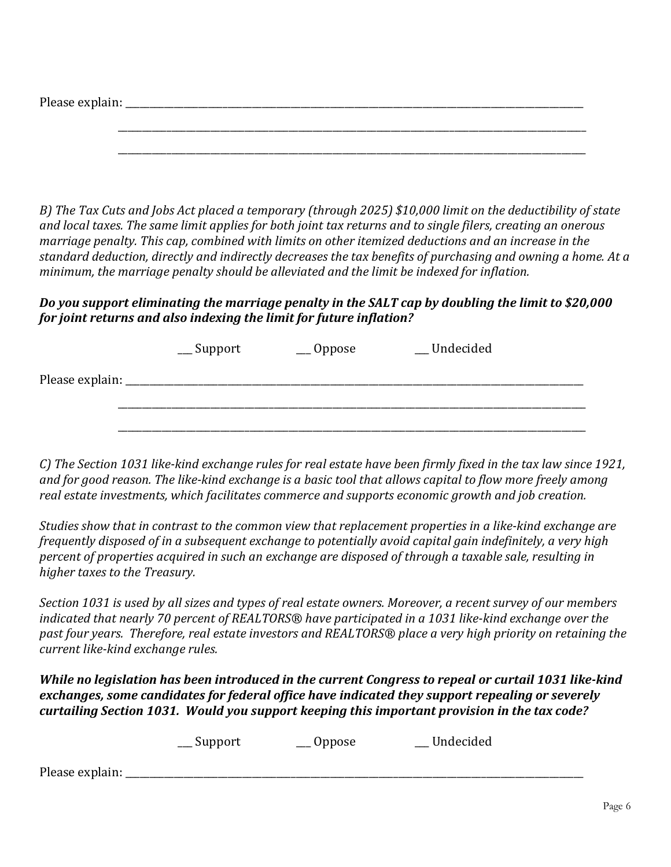| Please exp<br>$\ldots$ uill $\ldots$ |       |  |  |              |
|--------------------------------------|-------|--|--|--------------|
|                                      |       |  |  |              |
|                                      | _____ |  |  | ____________ |

*B) The Tax Cuts and Jobs Act placed a temporary (through 2025) \$10,000 limit on the deductibility of state and local taxes. The same limit applies for both joint tax returns and to single filers, creating an onerous marriage penalty. This cap, combined with limits on other itemized deductions and an increase in the standard deduction, directly and indirectly decreases the tax benefits of purchasing and owning a home. At a minimum, the marriage penalty should be alleviated and the limit be indexed for inflation.*

\_\_\_\_\_\_\_\_\_\_\_\_\_\_\_\_\_\_\_\_\_\_\_\_\_\_\_\_\_\_\_\_\_\_\_\_\_\_\_\_\_\_\_\_\_\_\_\_\_\_\_\_\_\_\_\_\_\_\_\_\_\_\_\_\_\_\_\_\_\_\_\_\_\_\_\_\_\_\_\_\_\_\_\_\_\_\_\_\_\_\_\_\_\_\_\_

## *Do you support eliminating the marriage penalty in the SALT cap by doubling the limit to \$20,000 for joint returns and also indexing the limit for future inflation?*

|                 | $\equiv$ Support | $\_\_$ Oppose | __Undecided |  |
|-----------------|------------------|---------------|-------------|--|
| Please explain: |                  |               |             |  |
|                 |                  |               |             |  |
|                 |                  |               |             |  |

*C) The Section 1031 like-kind exchange rules for real estate have been firmly fixed in the tax law since 1921, and for good reason. The like-kind exchange is a basic tool that allows capital to flow more freely among real estate investments, which facilitates commerce and supports economic growth and job creation.*

*Studies show that in contrast to the common view that replacement properties in a like-kind exchange are frequently disposed of in a subsequent exchange to potentially avoid capital gain indefinitely, a very high percent of properties acquired in such an exchange are disposed of through a taxable sale, resulting in higher taxes to the Treasury.* 

*Section 1031 is used by all sizes and types of real estate owners. Moreover, a recent survey of our members indicated that nearly 70 percent of REALTORS® have participated in a 1031 like-kind exchange over the past four years. Therefore, real estate investors and REALTORS® place a very high priority on retaining the current like-kind exchange rules.*

*While no legislation has been introduced in the current Congress to repeal or curtail 1031 like-kind exchanges, some candidates for federal office have indicated they support repealing or severely curtailing Section 1031. Would you support keeping this important provision in the tax code?*

|                 | __ Support | __ Oppose | Undecided |  |
|-----------------|------------|-----------|-----------|--|
| Please explain: |            |           |           |  |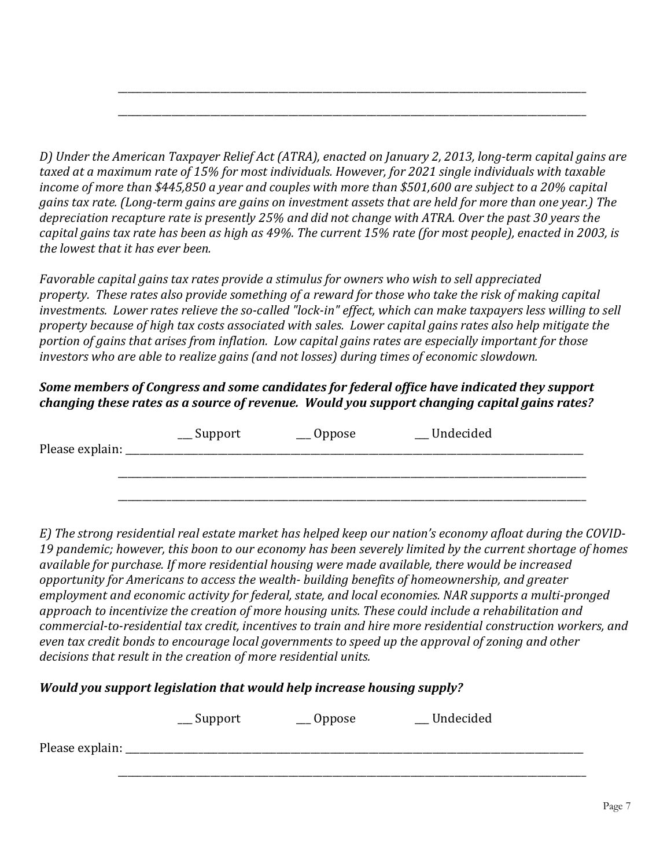*D) Under the American Taxpayer Relief Act (ATRA), enacted on January 2, 2013, long-term capital gains are taxed at a maximum rate of 15% for most individuals. However, for 2021 single individuals with taxable income of more than \$445,850 a year and couples with more than \$501,600 are subject to a 20% capital gains tax rate. (Long-term gains are gains on investment assets that are held for more than one year.) The depreciation recapture rate is presently 25% and did not change with ATRA. Over the past 30 years the capital gains tax rate has been as high as 49%. The current 15% rate (for most people), enacted in 2003, is the lowest that it has ever been.*

\_\_\_\_\_\_\_\_\_\_\_\_\_\_\_\_\_\_\_\_\_\_\_\_\_\_\_\_\_\_\_\_\_\_\_\_\_\_\_\_\_\_\_\_\_\_\_\_\_\_\_\_\_\_\_\_\_\_\_\_\_\_\_\_\_\_\_\_\_\_\_\_\_\_\_\_\_\_\_\_\_\_\_\_\_\_\_\_\_\_\_\_\_\_\_\_

\_\_\_\_\_\_\_\_\_\_\_\_\_\_\_\_\_\_\_\_\_\_\_\_\_\_\_\_\_\_\_\_\_\_\_\_\_\_\_\_\_\_\_\_\_\_\_\_\_\_\_\_\_\_\_\_\_\_\_\_\_\_\_\_\_\_\_\_\_\_\_\_\_\_\_\_\_\_\_\_\_\_\_\_\_\_\_\_\_\_\_\_\_\_\_\_

*Favorable capital gains tax rates provide a stimulus for owners who wish to sell appreciated property. These rates also provide something of a reward for those who take the risk of making capital investments. Lower rates relieve the so-called "lock-in" effect, which can make taxpayers less willing to sell property because of high tax costs associated with sales. Lower capital gains rates also help mitigate the portion of gains that arises from inflation. Low capital gains rates are especially important for those investors who are able to realize gains (and not losses) during times of economic slowdown.*

## *Some members of Congress and some candidates for federal office have indicated they support changing these rates as a source of revenue. Would you support changing capital gains rates?*

| Please explain: | $\equiv$ Support | $\_\_$ Oppose | _Undecided |  |
|-----------------|------------------|---------------|------------|--|
|                 |                  |               |            |  |
|                 |                  |               |            |  |

*E) The strong residential real estate market has helped keep our nation's economy afloat during the COVID-19 pandemic; however, this boon to our economy has been severely limited by the current shortage of homes available for purchase. If more residential housing were made available, there would be increased opportunity for Americans to access the wealth- building benefits of homeownership, and greater employment and economic activity for federal, state, and local economies. NAR supports a multi-pronged approach to incentivize the creation of more housing units. These could include a rehabilitation and commercial-to-residential tax credit, incentives to train and hire more residential construction workers, and even tax credit bonds to encourage local governments to speed up the approval of zoning and other decisions that result in the creation of more residential units.* 

### *Would you support legislation that would help increase housing supply?*

|                 | $\equiv$ Support | $\_\_$ Oppose | _ Undecided |  |
|-----------------|------------------|---------------|-------------|--|
| Please explain: |                  |               |             |  |
|                 |                  |               |             |  |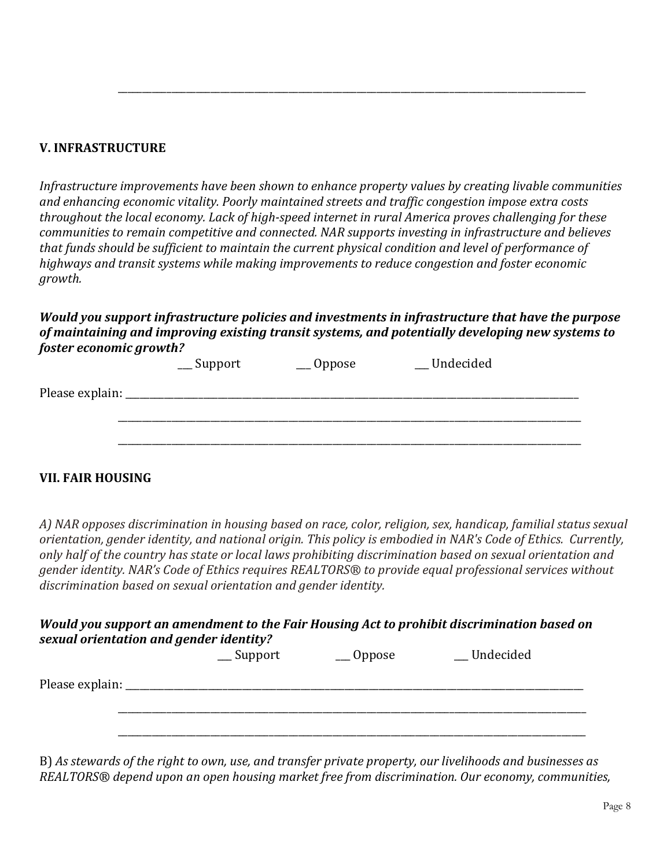#### **V. INFRASTRUCTURE**

*Infrastructure improvements have been shown to enhance property values by creating livable communities and enhancing economic vitality. Poorly maintained streets and traffic congestion impose extra costs throughout the local economy. Lack of high-speed internet in rural America proves challenging for these communities to remain competitive and connected. NAR supports investing in infrastructure and believes that funds should be sufficient to maintain the current physical condition and level of performance of highways and transit systems while making improvements to reduce congestion and foster economic growth.*

\_\_\_\_\_\_\_\_\_\_\_\_\_\_\_\_\_\_\_\_\_\_\_\_\_\_\_\_\_\_\_\_\_\_\_\_\_\_\_\_\_\_\_\_\_\_\_\_\_\_\_\_\_\_\_\_\_\_\_\_\_\_\_\_\_\_\_\_\_\_\_\_\_\_\_\_\_\_\_\_\_\_\_\_\_\_\_\_\_\_\_\_\_\_\_\_

#### *Would you support infrastructure policies and investments in infrastructure that have the purpose of maintaining and improving existing transit systems, and potentially developing new systems to foster economic growth?*

|                 | $\equiv$ Support | $\_\_$ Oppose | __Undecided |  |
|-----------------|------------------|---------------|-------------|--|
| Please explain: |                  |               |             |  |
|                 |                  |               |             |  |
|                 |                  |               |             |  |
|                 |                  |               |             |  |

#### **VII. FAIR HOUSING**

*A) NAR opposes discrimination in housing based on race, color, religion, sex, handicap, familial status sexual orientation, gender identity, and national origin. This policy is embodied in NAR's Code of Ethics. Currently, only half of the country has state or local laws prohibiting discrimination based on sexual orientation and gender identity. NAR's Code of Ethics requires REALTORS® to provide equal professional services without discrimination based on sexual orientation and gender identity.*

### *Would you support an amendment to the Fair Housing Act to prohibit discrimination based on sexual orientation and gender identity?*

|                 | $\equiv$ Support | $\_\_$ Oppose | __Undecided |  |
|-----------------|------------------|---------------|-------------|--|
| Please explain: |                  |               |             |  |
|                 |                  |               |             |  |
|                 |                  |               |             |  |
|                 |                  |               |             |  |

B) *As stewards of the right to own, use, and transfer private property, our livelihoods and businesses as REALTORS® depend upon an open housing market free from discrimination. Our economy, communities,*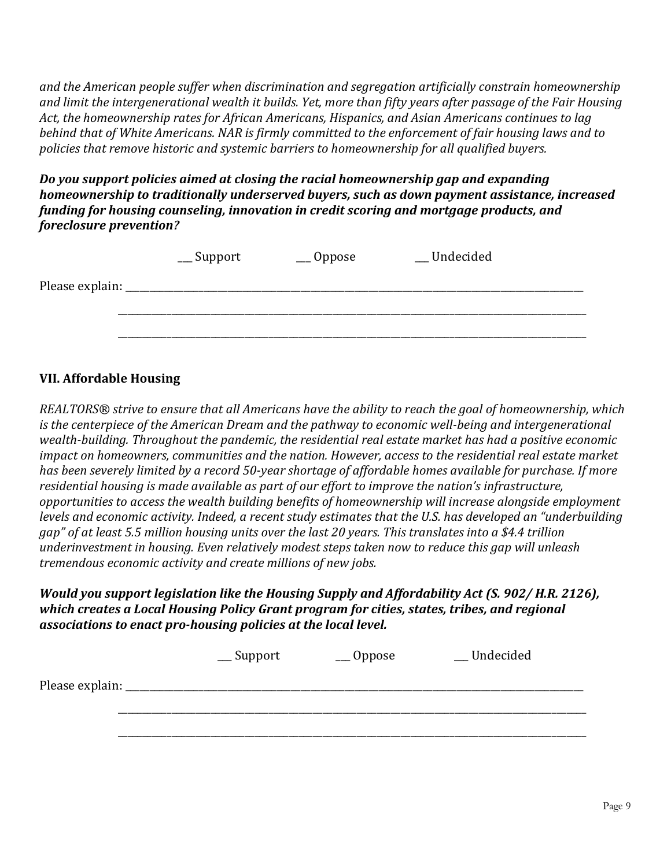*and the American people suffer when discrimination and segregation artificially constrain homeownership and limit the intergenerational wealth it builds. Yet, more than fifty years after passage of the Fair Housing Act, the homeownership rates for African Americans, Hispanics, and Asian Americans continues to lag behind that of White Americans. NAR is firmly committed to the enforcement of fair housing laws and to policies that remove historic and systemic barriers to homeownership for all qualified buyers.*

*Do you support policies aimed at closing the racial homeownership gap and expanding homeownership to traditionally underserved buyers, such as down payment assistance, increased funding for housing counseling, innovation in credit scoring and mortgage products, and foreclosure prevention?*

|                 | $\equiv$ Support | $\_\_$ Oppose | __Undecided |  |
|-----------------|------------------|---------------|-------------|--|
| Please explain: |                  |               |             |  |
|                 |                  |               |             |  |
|                 |                  |               |             |  |

#### **VII. Affordable Housing**

*REALTORS® strive to ensure that all Americans have the ability to reach the goal of homeownership, which is the centerpiece of the American Dream and the pathway to economic well-being and intergenerational wealth-building. Throughout the pandemic, the residential real estate market has had a positive economic impact on homeowners, communities and the nation. However, access to the residential real estate market has been severely limited by a record 50-year shortage of affordable homes available for purchase. If more residential housing is made available as part of our effort to improve the nation's infrastructure, opportunities to access the wealth building benefits of homeownership will increase alongside employment levels and economic activity. Indeed, a recent study estimates that the U.S. has developed an "underbuilding gap" of at least 5.5 million housing units over the last 20 years. This translates into a \$4.4 trillion underinvestment in housing. Even relatively modest steps taken now to reduce this gap will unleash tremendous economic activity and create millions of new jobs.*

*Would you support legislation like the Housing Supply and Affordability Act (S. 902/ H.R. 2126), which creates a Local Housing Policy Grant program for cities, states, tribes, and regional associations to enact pro-housing policies at the local level.*

|                 | $\equiv$ Support | $\_\_$ Oppose | __Undecided |  |
|-----------------|------------------|---------------|-------------|--|
| Please explain: |                  |               |             |  |
|                 |                  |               |             |  |
|                 |                  |               |             |  |